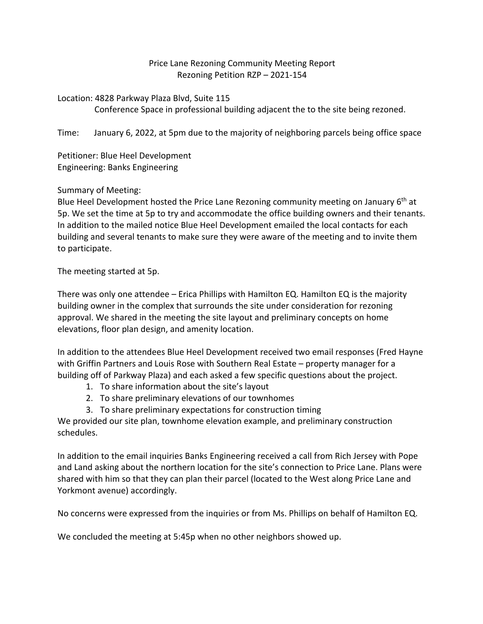## Price Lane Rezoning Community Meeting Report Rezoning Petition RZP – 2021-154

Location: 4828 Parkway Plaza Blvd, Suite 115

Conference Space in professional building adjacent the to the site being rezoned.

Time: January 6, 2022, at 5pm due to the majority of neighboring parcels being office space

Petitioner: Blue Heel Development Engineering: Banks Engineering

# Summary of Meeting:

Blue Heel Development hosted the Price Lane Rezoning community meeting on January  $6<sup>th</sup>$  at 5p. We set the time at 5p to try and accommodate the office building owners and their tenants. In addition to the mailed notice Blue Heel Development emailed the local contacts for each building and several tenants to make sure they were aware of the meeting and to invite them to participate.

The meeting started at 5p.

There was only one attendee – Erica Phillips with Hamilton EQ. Hamilton EQ is the majority building owner in the complex that surrounds the site under consideration for rezoning approval. We shared in the meeting the site layout and preliminary concepts on home elevations, floor plan design, and amenity location.

In addition to the attendees Blue Heel Development received two email responses (Fred Hayne with Griffin Partners and Louis Rose with Southern Real Estate – property manager for a building off of Parkway Plaza) and each asked a few specific questions about the project.

- 1. To share information about the site's layout
- 2. To share preliminary elevations of our townhomes
- 3. To share preliminary expectations for construction timing

We provided our site plan, townhome elevation example, and preliminary construction schedules.

In addition to the email inquiries Banks Engineering received a call from Rich Jersey with Pope and Land asking about the northern location for the site's connection to Price Lane. Plans were shared with him so that they can plan their parcel (located to the West along Price Lane and Yorkmont avenue) accordingly.

No concerns were expressed from the inquiries or from Ms. Phillips on behalf of Hamilton EQ.

We concluded the meeting at 5:45p when no other neighbors showed up.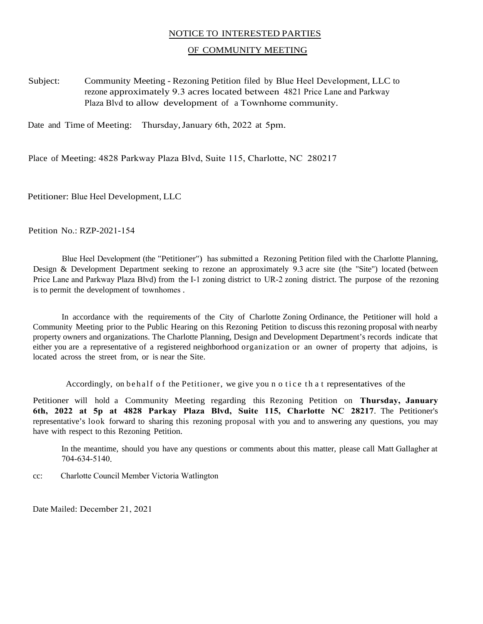### NOTICE TO INTERESTED PARTIES

#### OF COMMUNITY MEETING

Subject: Community Meeting - Rezoning Petition filed by Blue Heel Development, LLC to rezone approximately 9.3 acres located between 4821 Price Lane and Parkway Plaza Blvd to allow development of a Townhome community.

Date and Time of Meeting: Thursday, January 6th, 2022 at 5pm.

Place of Meeting: 4828 Parkway Plaza Blvd, Suite 115, Charlotte, NC 280217

Petitioner: Blue Heel Development, LLC

Petition No.: RZP-2021-154

Blue Heel Development (the "Petitioner") has submitted a Rezoning Petition filed with the Charlotte Planning, Design & Development Department seeking to rezone an approximately 9.3 acre site (the "Site") located (between Price Lane and Parkway Plaza Blvd) from the I-1 zoning district to UR-2 zoning district. The purpose of the rezoning is to permit the development of townhomes .

In accordance with the requirements of the City of Charlotte Zoning Ordinance, the Petitioner will hold a Community Meeting prior to the Public Hearing on this Rezoning Petition to discuss this rezoning proposal with nearby property owners and organizations. The Charlotte Planning, Design and Development Department's records indicate that either you are a representative of a registered neighborhood organization or an owner of property that adjoins, is located across the street from, or is near the Site.

Accordingly, on behalf of the Petitioner, we give you n o tice that representatives of the

Petitioner will hold a Community Meeting regarding this Rezoning Petition on **Thursday, January 6th, 2022 at 5p at 4828 Parkay Plaza Blvd, Suite 115, Charlotte NC 28217**. The Petitioner's representative's look forward to sharing this rezoning proposal with you and to answering any questions, you may have with respect to this Rezoning Petition.

In the meantime, should you have any questions or comments about this matter, please call Matt Gallagher at 704-634-5140.

cc: Charlotte Council Member Victoria Watlington

Date Mailed: December 21, 2021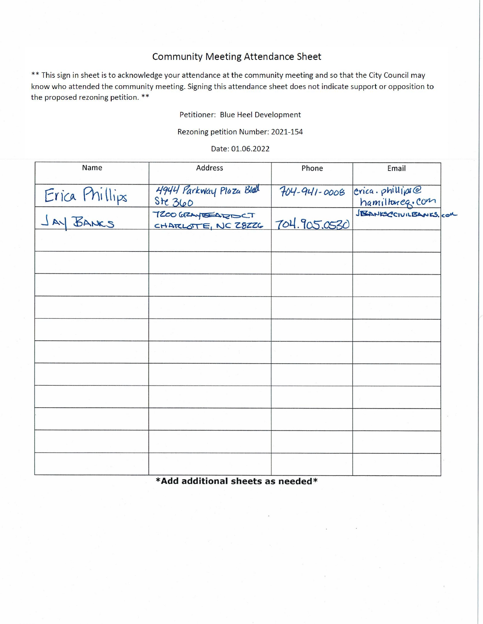# **Community Meeting Attendance Sheet**

\*\* This sign in sheet is to acknowledge your attendance at the community meeting and so that the City Council may know who attended the community meeting. Signing this attendance sheet does not indicate support or opposition to the proposed rezoning petition. \*\*

Petitioner: Blue Heel Development

Rezoning petition Number: 2021-154

Date: 01.06.2022

| Name           | Address                                   | Phone<br>$704 - 941 - 0008$<br>704.905.0530 |                        |
|----------------|-------------------------------------------|---------------------------------------------|------------------------|
| Erica Phillips | 4944 Parkway Plaza Blod<br>Ste 360        | $erica.$ phillips@<br>hamiltoneg.com        |                        |
|                | T200 GRAY STARTOCT<br>CHARLOTTE, NC 28226 |                                             | JEANKSCCIVILEANES. COM |
|                |                                           |                                             |                        |
|                |                                           |                                             |                        |
|                |                                           |                                             |                        |
|                |                                           |                                             |                        |
|                |                                           |                                             |                        |
|                |                                           |                                             |                        |
|                |                                           |                                             |                        |
|                |                                           |                                             |                        |
|                |                                           |                                             |                        |
|                |                                           |                                             |                        |
|                |                                           |                                             |                        |

\*Add additional sheets as needed\*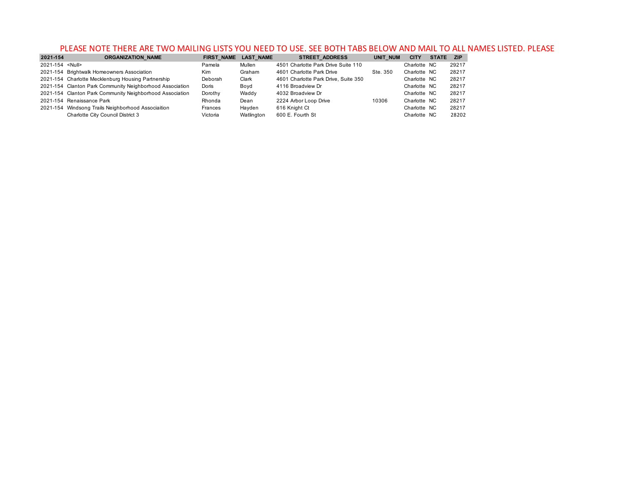### PLEASE NOTE THERE ARE TWO MAILING LISTS YOU NEED TO USE. SEE BOTH TABS BELOW AND MAIL TO ALL NAMES LISTED. PLEASE

| 2021-154               | <b>ORGANIZATION NAME</b>                                 | <b>FIRST NAME</b> | <b>LAST NAME</b> | <b>STREET ADDRESS</b>                | UNIT NUM | <b>CITY</b>  | <b>STATE</b> | <b>ZIP</b> |
|------------------------|----------------------------------------------------------|-------------------|------------------|--------------------------------------|----------|--------------|--------------|------------|
| 2021-154 <null></null> |                                                          | Pamela            | Mullen           | 4501 Charlotte Park Drive Suite 110  |          | Charlotte NC |              | 29217      |
|                        | 2021-154 Brightwalk Homeowners Association               | Kim               | Graham           | 4601 Charlotte Park Drive            | Ste. 350 | Charlotte NC |              | 28217      |
|                        | 2021-154 Charlotte Mecklenburg Housing Partnership       | Deborah           | Clark            | 4601 Charlotte Park Drive, Suite 350 |          | Charlotte NC |              | 28217      |
|                        | 2021-154 Clanton Park Community Neighborhood Association | Doris             | Bovd             | 4116 Broadview Dr                    |          | Charlotte NC |              | 28217      |
|                        | 2021-154 Clanton Park Community Neighborhood Association | Dorothy           | Waddy            | 4032 Broadview Dr                    |          | Charlotte NC |              | 28217      |
|                        | 2021-154 Renaissance Park                                | Rhonda            | Dean             | 2224 Arbor Loop Drive                | 10306    | Charlotte NC |              | 28217      |
|                        | 2021-154 Windsong Trails Neighborhood Associaition       | Frances           | Havden           | 616 Knight Ct                        |          | Charlotte NC |              | 28217      |
|                        | Charlotte City Council District 3                        | Victoria          | Watlington       | 600 E. Fourth St                     |          | Charlotte NC |              | 28202      |